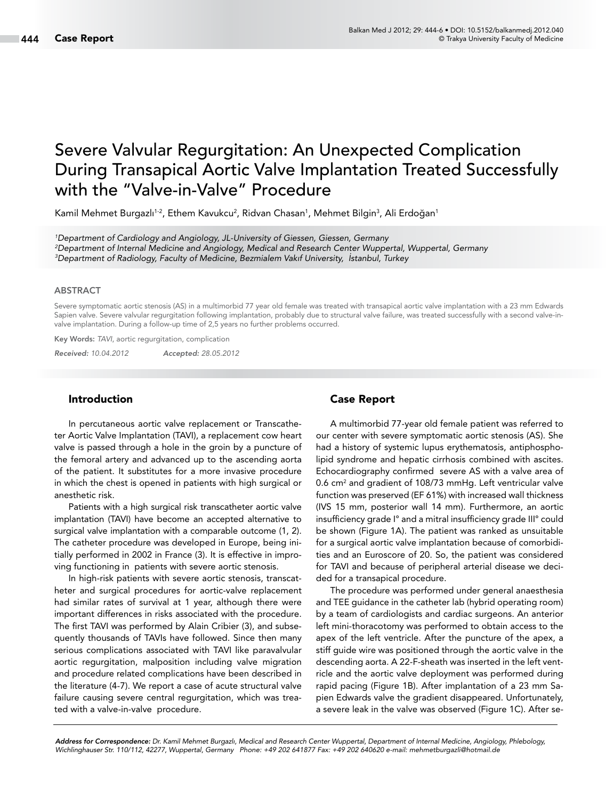# Severe Valvular Regurgitation: An Unexpected Complication During Transapical Aortic Valve Implantation Treated Successfully with the "Valve-in-Valve" Procedure

Kamil Mehmet Burgazlı<sup>1-2</sup>, Ethem Kavukcu<sup>2</sup>, Ridvan Chasan<sup>1</sup>, Mehmet Bilgin<sup>3</sup>, Ali Erdoğan<sup>1</sup>

*1 Department of Cardiology and Angiology, JL-University of Giessen, Giessen, Germany 2 Department of Internal Medicine and Angiology, Medical and Research Center Wuppertal, Wuppertal, Germany 3 Department of Radiology, Faculty of Medicine, Bezmialem Vakıf University, İstanbul, Turkey*

#### ABSTRACT

Severe symptomatic aortic stenosis (AS) in a multimorbid 77 year old female was treated with transapical aortic valve implantation with a 23 mm Edwards Sapien valve. Severe valvular regurgitation following implantation, probably due to structural valve failure, was treated successfully with a second valve-invalve implantation. During a follow-up time of 2,5 years no further problems occurred.

Key Words: *TAVI*, aortic regurgitation, complication

*Received: 10.04.2012 Accepted: 28.05.2012*

## Introduction

In percutaneous aortic valve replacement or Transcatheter Aortic Valve Implantation (TAVI), a replacement cow heart valve is passed through a hole in the groin by a puncture of the femoral artery and advanced up to the ascending aorta of the patient. It substitutes for a more invasive procedure in which the chest is opened in patients with high surgical or anesthetic risk.

Patients with a high surgical risk transcatheter aortic valve implantation (TAVI) have become an accepted alternative to surgical valve implantation with a comparable outcome (1, 2). The catheter procedure was developed in Europe, being initially performed in 2002 in France (3). It is effective in improving functioning in patients with severe aortic stenosis.

In high-risk patients with severe aortic stenosis, transcatheter and surgical procedures for aortic-valve replacement had similar rates of survival at 1 year, although there were important differences in risks associated with the procedure. The first TAVI was performed by Alain Cribier (3), and subsequently thousands of TAVIs have followed. Since then many serious complications associated with TAVI like paravalvular aortic regurgitation, malposition including valve migration and procedure related complications have been described in the literature (4-7). We report a case of acute structural valve failure causing severe central regurgitation, which was treated with a valve-in-valve procedure.

## Case Report

A multimorbid 77-year old female patient was referred to our center with severe symptomatic aortic stenosis (AS). She had a history of systemic lupus erythematosis, antiphospholipid syndrome and hepatic cirrhosis combined with ascites. Echocardiography confirmed severe AS with a valve area of 0.6 cm2 and gradient of 108/73 mmHg. Left ventricular valve function was preserved (EF 61%) with increased wall thickness (IVS 15 mm, posterior wall 14 mm). Furthermore, an aortic insufficiency grade I° and a mitral insufficiency grade III° could be shown (Figure 1A). The patient was ranked as unsuitable for a surgical aortic valve implantation because of comorbidities and an Euroscore of 20. So, the patient was considered for TAVI and because of peripheral arterial disease we decided for a transapical procedure.

The procedure was performed under general anaesthesia and TEE guidance in the catheter lab (hybrid operating room) by a team of cardiologists and cardiac surgeons. An anterior left mini-thoracotomy was performed to obtain access to the apex of the left ventricle. After the puncture of the apex, a stiff guide wire was positioned through the aortic valve in the descending aorta. A 22-F-sheath was inserted in the left ventricle and the aortic valve deployment was performed during rapid pacing (Figure 1B). After implantation of a 23 mm Sapien Edwards valve the gradient disappeared. Unfortunately, a severe leak in the valve was observed (Figure 1C). After se-

*Address for Correspondence: Dr. Kamil Mehmet Burgazlı, Medical and Research Center Wuppertal, Department of Internal Medicine, Angiology, Phlebology, Wichlinghauser Str. 110/112, 42277, Wuppertal, Germany Phone: +49 202 641877 Fax: +49 202 640620 e-mail: mehmetburgazli@hotmail.de*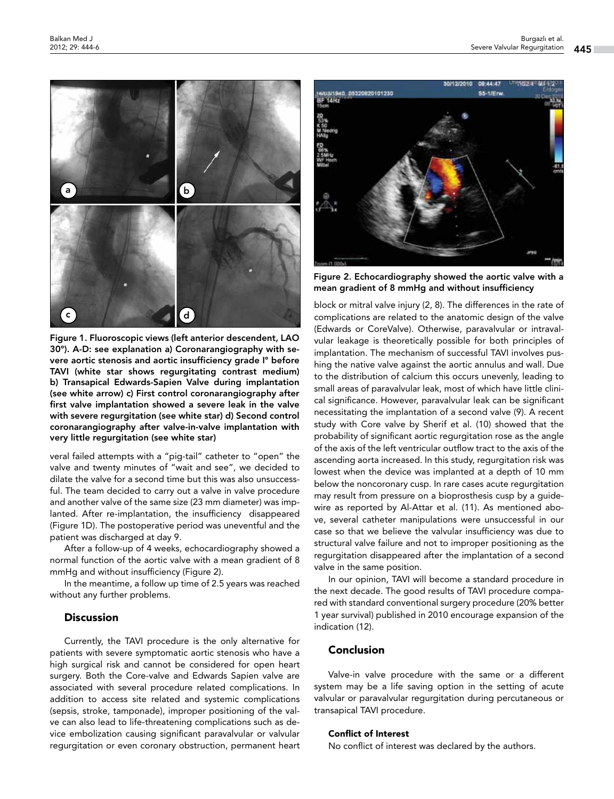

Figure 1. Fluoroscopic views (left anterior descendent, LAO 30°). A-D: see explanation a) Coronarangiography with severe aortic stenosis and aortic insufficiency grade I° before TAVI (white star shows regurgitating contrast medium) b) Transapical Edwards-Sapien Valve during implantation (see white arrow) c) First control coronarangiography after first valve implantation showed a severe leak in the valve with severe regurgitation (see white star) d) Second control coronarangiography after valve-in-valve implantation with very little regurgitation (see white star)

veral failed attempts with a "pig-tail" catheter to "open" the valve and twenty minutes of "wait and see", we decided to dilate the valve for a second time but this was also unsuccessful. The team decided to carry out a valve in valve procedure and another valve of the same size (23 mm diameter) was implanted. After re-implantation, the insufficiency disappeared (Figure 1D). The postoperative period was uneventful and the patient was discharged at day 9.

After a follow-up of 4 weeks, echocardiography showed a normal function of the aortic valve with a mean gradient of 8 mmHg and without insufficiency (Figure 2).

In the meantime, a follow up time of 2.5 years was reached without any further problems.

## **Discussion**

Currently, the TAVI procedure is the only alternative for patients with severe symptomatic aortic stenosis who have a high surgical risk and cannot be considered for open heart surgery. Both the Core-valve and Edwards Sapien valve are associated with several procedure related complications. In addition to access site related and systemic complications (sepsis, stroke, tamponade), improper positioning of the valve can also lead to life-threatening complications such as device embolization causing significant paravalvular or valvular regurgitation or even coronary obstruction, permanent heart



Figure 2. Echocardiography showed the aortic valve with a mean gradient of 8 mmHg and without insufficiency

block or mitral valve injury (2, 8). The differences in the rate of complications are related to the anatomic design of the valve (Edwards or CoreValve). Otherwise, paravalvular or intravalvular leakage is theoretically possible for both principles of implantation. The mechanism of successful TAVI involves pushing the native valve against the aortic annulus and wall. Due to the distribution of calcium this occurs unevenly, leading to small areas of paravalvular leak, most of which have little clinical significance. However, paravalvular leak can be significant necessitating the implantation of a second valve (9). A recent study with Core valve by Sherif et al. (10) showed that the probability of significant aortic regurgitation rose as the angle of the axis of the left ventricular outflow tract to the axis of the ascending aorta increased. In this study, regurgitation risk was lowest when the device was implanted at a depth of 10 mm below the noncoronary cusp. In rare cases acute regurgitation may result from pressure on a bioprosthesis cusp by a guidewire as reported by Al-Attar et al. (11)*.* As mentioned above, several catheter manipulations were unsuccessful in our case so that we believe the valvular insufficiency was due to structural valve failure and not to improper positioning as the regurgitation disappeared after the implantation of a second valve in the same position.

In our opinion, TAVI will become a standard procedure in the next decade. The good results of TAVI procedure compared with standard conventional surgery procedure (20% better 1 year survival) published in 2010 encourage expansion of the indication (12).

## Conclusion

Valve-in valve procedure with the same or a different system may be a life saving option in the setting of acute valvular or paravalvular regurgitation during percutaneous or transapical TAVI procedure.

#### Conflict of Interest

No conflict of interest was declared by the authors.